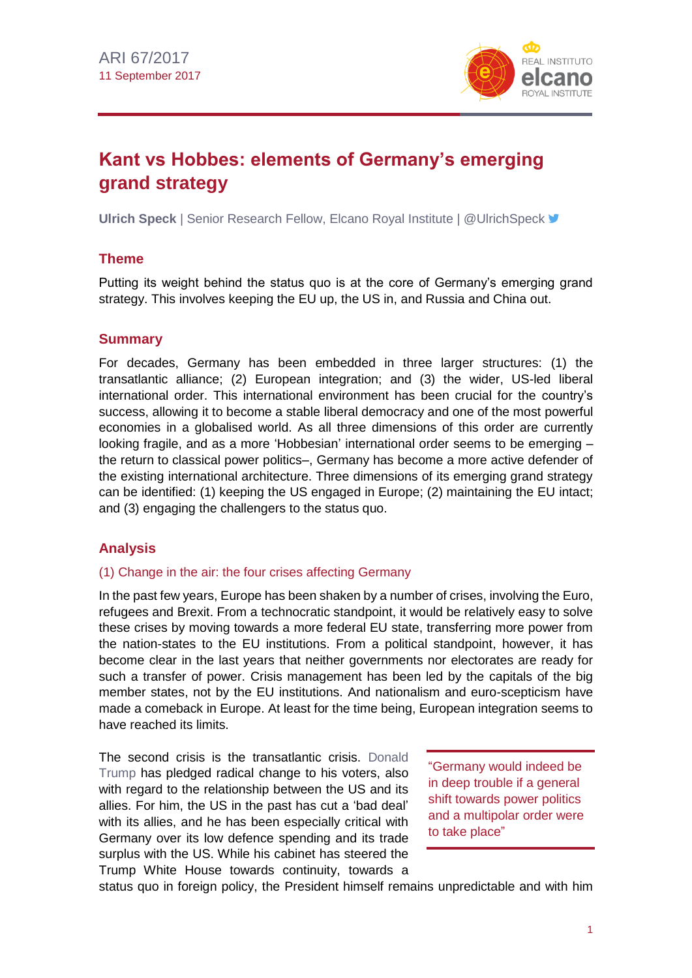

# **Kant vs Hobbes: elements of Germany's emerging grand strategy**

**Ulrich Speck** | Senior Research Fellow, Elcano Royal Institute | @UlrichSpeck <del>■</del>

## **Theme**

Putting its weight behind the status quo is at the core of Germany's emerging grand strategy. This involves keeping the EU up, the US in, and Russia and China out.

## **Summary**

For decades, Germany has been embedded in three larger structures: (1) the transatlantic alliance; (2) European integration; and (3) the wider, US-led liberal international order. This international environment has been crucial for the country's success, allowing it to become a stable liberal democracy and one of the most powerful economies in a globalised world. As all three dimensions of this order are currently looking fragile, and as a more 'Hobbesian' international order seems to be emerging – the return to classical power politics–, Germany has become a more active defender of the existing international architecture. Three dimensions of its emerging grand strategy can be identified: (1) keeping the US engaged in Europe; (2) maintaining the EU intact; and (3) engaging the challengers to the status quo.

## **Analysis**

## (1) Change in the air: the four crises affecting Germany

In the past few years, Europe has been shaken by a number of crises, involving the Euro, refugees and Brexit. From a technocratic standpoint, it would be relatively easy to solve these crises by moving towards a more federal EU state, transferring more power from the nation-states to the EU institutions. From a political standpoint, however, it has become clear in the last years that neither governments nor electorates are ready for such a transfer of power. Crisis management has been led by the capitals of the big member states, not by the EU institutions. And nationalism and euro-scepticism have made a comeback in Europe. At least for the time being, European integration seems to have reached its limits.

The second crisis is the transatlantic crisis. [Donald](http://www.realinstitutoelcano.org/especiales/eeuu2016/)  [Trump](http://www.realinstitutoelcano.org/especiales/eeuu2016/) has pledged radical change to his voters, also with regard to the relationship between the US and its allies. For him, the US in the past has cut a 'bad deal' with its allies, and he has been especially critical with Germany over its low defence spending and its trade surplus with the US. While his cabinet has steered the Trump White House towards continuity, towards a

"Germany would indeed be in deep trouble if a general shift towards power politics and a multipolar order were to take place"

status quo in foreign policy, the President himself remains unpredictable and with him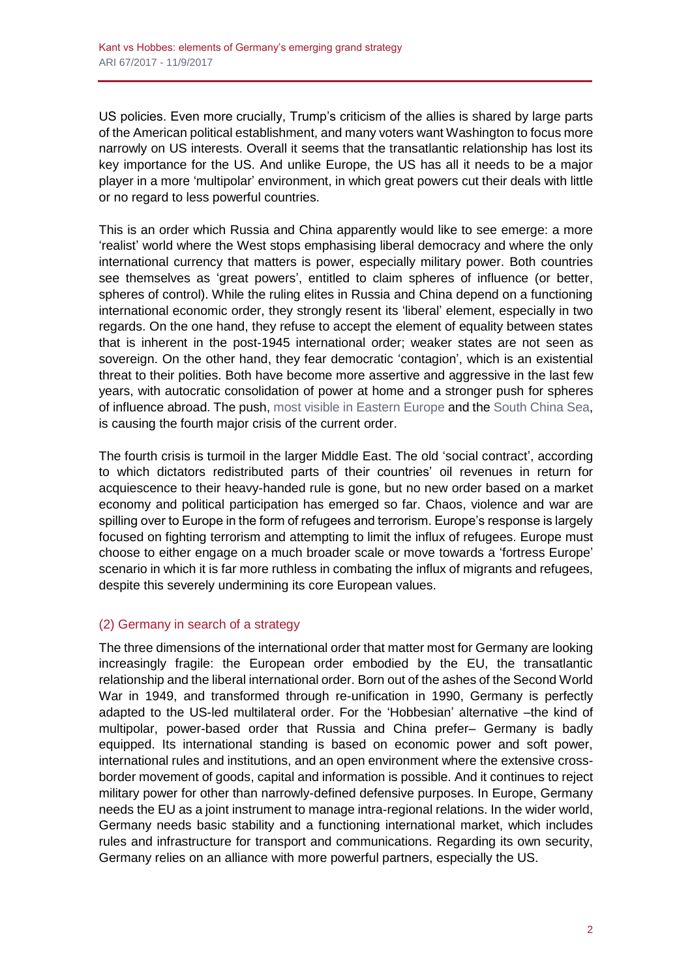US policies. Even more crucially, Trump's criticism of the allies is shared by large parts of the American political establishment, and many voters want Washington to focus more narrowly on US interests. Overall it seems that the transatlantic relationship has lost its key importance for the US. And unlike Europe, the US has all it needs to be a major player in a more 'multipolar' environment, in which great powers cut their deals with little or no regard to less powerful countries.

This is an order which Russia and China apparently would like to see emerge: a more 'realist' world where the West stops emphasising liberal democracy and where the only international currency that matters is power, especially military power. Both countries see themselves as 'great powers', entitled to claim spheres of influence (or better, spheres of control). While the ruling elites in Russia and China depend on a functioning international economic order, they strongly resent its 'liberal' element, especially in two regards. On the one hand, they refuse to accept the element of equality between states that is inherent in the post-1945 international order; weaker states are not seen as sovereign. On the other hand, they fear democratic 'contagion', which is an existential threat to their polities. Both have become more assertive and aggressive in the last few years, with autocratic consolidation of power at home and a stronger push for spheres of influence abroad. The push, [most visible in Eastern Europe](http://www.realinstitutoelcano.org/wps/portal/rielcano_es/contenido?WCM_GLOBAL_CONTEXT=/elcano/elcano_es/zonas_es/ari64-2017-milosevichjuaristi-zapad-2017-maniobras-militares-rusia-disuasion-estrategica) and th[e South China Sea,](http://www.realinstitutoelcano.org/wps/portal/rielcano_es/contenido?WCM_GLOBAL_CONTEXT=/elcano/elcano_es/zonas_es/asia-pacifico/ari60-2015-chinas-growing-assertiveness-in-the-south-china-sea) is causing the fourth major crisis of the current order.

The fourth crisis is turmoil in the larger Middle East. The old 'social contract', according to which dictators redistributed parts of their countries' oil revenues in return for acquiescence to their heavy-handed rule is gone, but no new order based on a market economy and political participation has emerged so far. Chaos, violence and war are spilling over to Europe in the form of refugees and terrorism. Europe's response is largely focused on fighting terrorism and attempting to limit the influx of refugees. Europe must choose to either engage on a much broader scale or move towards a 'fortress Europe' scenario in which it is far more ruthless in combating the influx of migrants and refugees, despite this severely undermining its core European values.

## (2) Germany in search of a strategy

The three dimensions of the international order that matter most for Germany are looking increasingly fragile: the European order embodied by the EU, the transatlantic relationship and the liberal international order. Born out of the ashes of the Second World War in 1949, and transformed through re-unification in 1990, Germany is perfectly adapted to the US-led multilateral order. For the 'Hobbesian' alternative –the kind of multipolar, power-based order that Russia and China prefer– Germany is badly equipped. Its international standing is based on economic power and soft power, international rules and institutions, and an open environment where the extensive crossborder movement of goods, capital and information is possible. And it continues to reject military power for other than narrowly-defined defensive purposes. In Europe, Germany needs the EU as a joint instrument to manage intra-regional relations. In the wider world, Germany needs basic stability and a functioning international market, which includes rules and infrastructure for transport and communications. Regarding its own security, Germany relies on an alliance with more powerful partners, especially the US.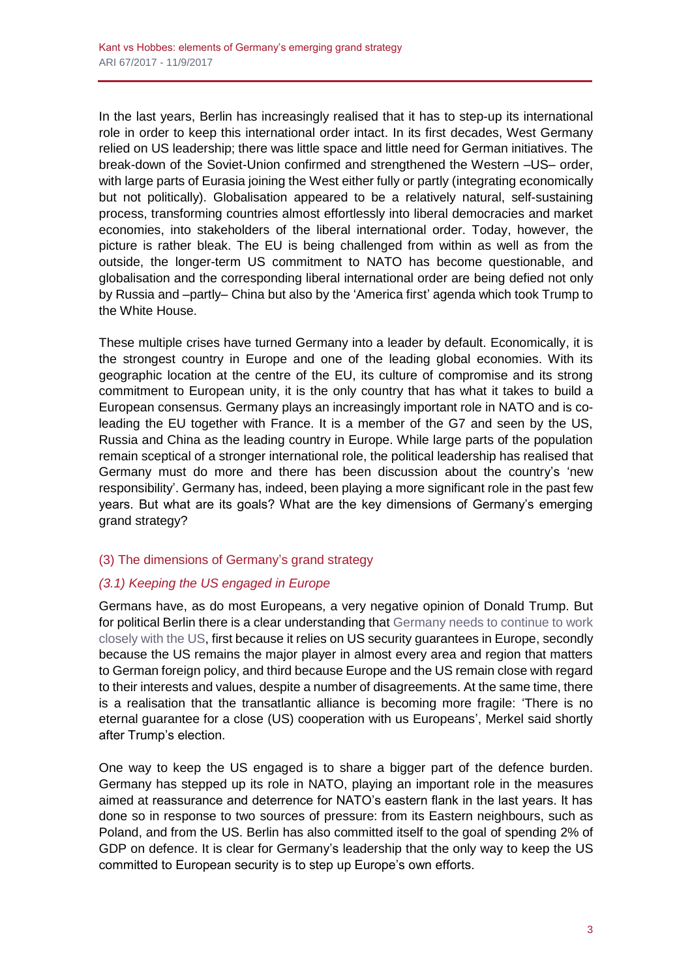In the last years, Berlin has increasingly realised that it has to step-up its international role in order to keep this international order intact. In its first decades, West Germany relied on US leadership; there was little space and little need for German initiatives. The break-down of the Soviet-Union confirmed and strengthened the Western –US– order, with large parts of Eurasia joining the West either fully or partly (integrating economically but not politically). Globalisation appeared to be a relatively natural, self-sustaining process, transforming countries almost effortlessly into liberal democracies and market economies, into stakeholders of the liberal international order. Today, however, the picture is rather bleak. The EU is being challenged from within as well as from the outside, the longer-term US commitment to NATO has become questionable, and globalisation and the corresponding liberal international order are being defied not only by Russia and –partly– China but also by the 'America first' agenda which took Trump to the White House.

These multiple crises have turned Germany into a leader by default. Economically, it is the strongest country in Europe and one of the leading global economies. With its geographic location at the centre of the EU, its culture of compromise and its strong commitment to European unity, it is the only country that has what it takes to build a European consensus. Germany plays an increasingly important role in NATO and is coleading the EU together with France. It is a member of the G7 and seen by the US, Russia and China as the leading country in Europe. While large parts of the population remain sceptical of a stronger international role, the political leadership has realised that Germany must do more and there has been discussion about the country's 'new responsibility'. Germany has, indeed, been playing a more significant role in the past few years. But what are its goals? What are the key dimensions of Germany's emerging grand strategy?

## (3) The dimensions of Germany's grand strategy

## *(3.1) Keeping the US engaged in Europe*

Germans have, as do most Europeans, a very negative opinion of Donald Trump. But for political Berlin there is a clear understanding that [Germany needs to continue to work](http://www.realinstitutoelcano.org/wps/portal/rielcano_en/contenido?WCM_GLOBAL_CONTEXT=/elcano/elcano_in/zonas_in/europe/commentary-speck-germany-trump-america-back-on-track)  [closely with the US,](http://www.realinstitutoelcano.org/wps/portal/rielcano_en/contenido?WCM_GLOBAL_CONTEXT=/elcano/elcano_in/zonas_in/europe/commentary-speck-germany-trump-america-back-on-track) first because it relies on US security guarantees in Europe, secondly because the US remains the major player in almost every area and region that matters to German foreign policy, and third because Europe and the US remain close with regard to their interests and values, despite a number of disagreements. At the same time, there is a realisation that the transatlantic alliance is becoming more fragile: 'There is no eternal guarantee for a close (US) cooperation with us Europeans', Merkel said shortly after Trump's election.

One way to keep the US engaged is to share a bigger part of the defence burden. Germany has stepped up its role in NATO, playing an important role in the measures aimed at reassurance and deterrence for NATO's eastern flank in the last years. It has done so in response to two sources of pressure: from its Eastern neighbours, such as Poland, and from the US. Berlin has also committed itself to the goal of spending 2% of GDP on defence. It is clear for Germany's leadership that the only way to keep the US committed to European security is to step up Europe's own efforts.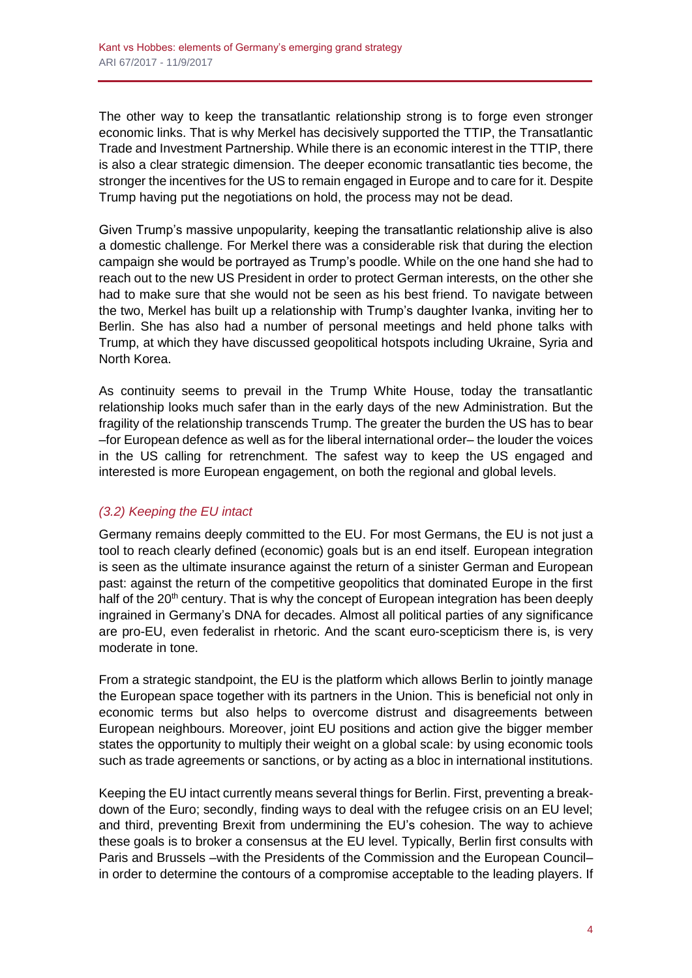The other way to keep the transatlantic relationship strong is to forge even stronger economic links. That is why Merkel has decisively supported the TTIP, the Transatlantic Trade and Investment Partnership. While there is an economic interest in the TTIP, there is also a clear strategic dimension. The deeper economic transatlantic ties become, the stronger the incentives for the US to remain engaged in Europe and to care for it. Despite Trump having put the negotiations on hold, the process may not be dead.

Given Trump's massive unpopularity, keeping the transatlantic relationship alive is also a domestic challenge. For Merkel there was a considerable risk that during the election campaign she would be portrayed as Trump's poodle. While on the one hand she had to reach out to the new US President in order to protect German interests, on the other she had to make sure that she would not be seen as his best friend. To navigate between the two, Merkel has built up a relationship with Trump's daughter Ivanka, inviting her to Berlin. She has also had a number of personal meetings and held phone talks with Trump, at which they have discussed geopolitical hotspots including Ukraine, Syria and North Korea.

As continuity seems to prevail in the Trump White House, today the transatlantic relationship looks much safer than in the early days of the new Administration. But the fragility of the relationship transcends Trump. The greater the burden the US has to bear –for European defence as well as for the liberal international order– the louder the voices in the US calling for retrenchment. The safest way to keep the US engaged and interested is more European engagement, on both the regional and global levels.

## *(3.2) Keeping the EU intact*

Germany remains deeply committed to the EU. For most Germans, the EU is not just a tool to reach clearly defined (economic) goals but is an end itself. European integration is seen as the ultimate insurance against the return of a sinister German and European past: against the return of the competitive geopolitics that dominated Europe in the first half of the 20<sup>th</sup> century. That is why the concept of European integration has been deeply ingrained in Germany's DNA for decades. Almost all political parties of any significance are pro-EU, even federalist in rhetoric. And the scant euro-scepticism there is, is very moderate in tone.

From a strategic standpoint, the EU is the platform which allows Berlin to jointly manage the European space together with its partners in the Union. This is beneficial not only in economic terms but also helps to overcome distrust and disagreements between European neighbours. Moreover, joint EU positions and action give the bigger member states the opportunity to multiply their weight on a global scale: by using economic tools such as trade agreements or sanctions, or by acting as a bloc in international institutions.

Keeping the EU intact currently means several things for Berlin. First, preventing a breakdown of the Euro; secondly, finding ways to deal with the refugee crisis on an EU level; and third, preventing Brexit from undermining the EU's cohesion. The way to achieve these goals is to broker a consensus at the EU level. Typically, Berlin first consults with Paris and Brussels –with the Presidents of the Commission and the European Council– in order to determine the contours of a compromise acceptable to the leading players. If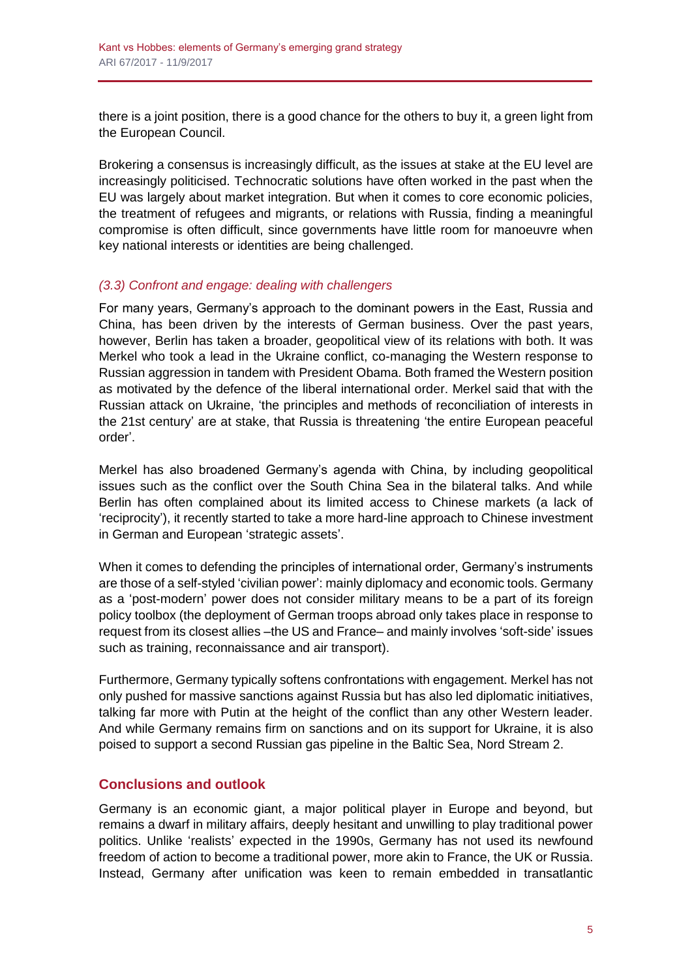there is a joint position, there is a good chance for the others to buy it, a green light from the European Council.

Brokering a consensus is increasingly difficult, as the issues at stake at the EU level are increasingly politicised. Technocratic solutions have often worked in the past when the EU was largely about market integration. But when it comes to core economic policies, the treatment of refugees and migrants, or relations with Russia, finding a meaningful compromise is often difficult, since governments have little room for manoeuvre when key national interests or identities are being challenged.

### *(3.3) Confront and engage: dealing with challengers*

For many years, Germany's approach to the dominant powers in the East, Russia and China, has been driven by the interests of German business. Over the past years, however, Berlin has taken a broader, geopolitical view of its relations with both. It was Merkel who took a lead in the Ukraine conflict, co-managing the Western response to Russian aggression in tandem with President Obama. Both framed the Western position as motivated by the defence of the liberal international order. Merkel said that with the Russian attack on Ukraine, 'the principles and methods of reconciliation of interests in the 21st century' are at stake, that Russia is threatening 'the entire European peaceful order'.

Merkel has also broadened Germany's agenda with China, by including geopolitical issues such as the conflict over the South China Sea in the bilateral talks. And while Berlin has often complained about its limited access to Chinese markets (a lack of 'reciprocity'), it recently started to take a more hard-line approach to Chinese investment in German and European 'strategic assets'.

When it comes to defending the principles of international order, Germany's instruments are those of a self-styled 'civilian power': mainly diplomacy and economic tools. Germany as a 'post-modern' power does not consider military means to be a part of its foreign policy toolbox (the deployment of German troops abroad only takes place in response to request from its closest allies –the US and France– and mainly involves 'soft-side' issues such as training, reconnaissance and air transport).

Furthermore, Germany typically softens confrontations with engagement. Merkel has not only pushed for massive sanctions against Russia but has also led diplomatic initiatives, talking far more with Putin at the height of the conflict than any other Western leader. And while Germany remains firm on sanctions and on its support for Ukraine, it is also poised to support a second Russian gas pipeline in the Baltic Sea, Nord Stream 2.

## **Conclusions and outlook**

Germany is an economic giant, a major political player in Europe and beyond, but remains a dwarf in military affairs, deeply hesitant and unwilling to play traditional power politics. Unlike 'realists' expected in the 1990s, Germany has not used its newfound freedom of action to become a traditional power, more akin to France, the UK or Russia. Instead, Germany after unification was keen to remain embedded in transatlantic